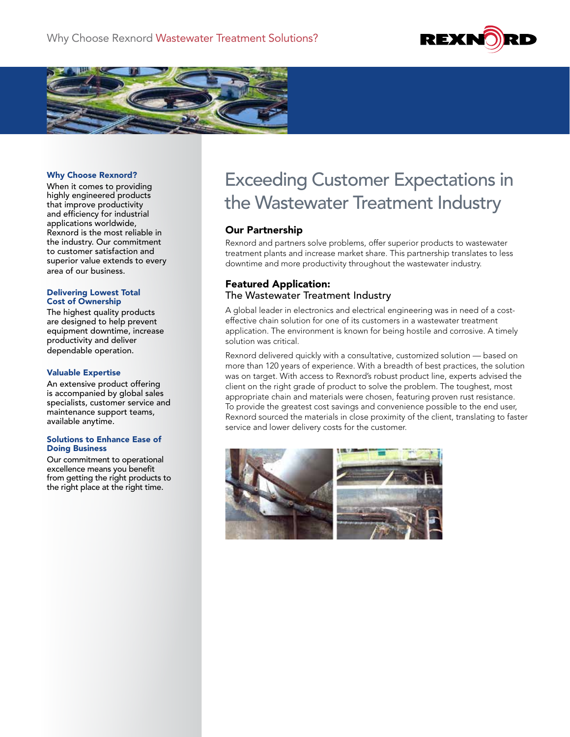



#### Why Choose Rexnord?

When it comes to providing highly engineered products that improve productivity and efficiency for industrial applications worldwide, Rexnord is the most reliable in the industry. Our commitment to customer satisfaction and superior value extends to every area of our business.

#### Delivering Lowest Total Cost of Ownership

The highest quality products are designed to help prevent equipment downtime, increase productivity and deliver dependable operation.

#### Valuable Expertise

An extensive product offering is accompanied by global sales specialists, customer service and maintenance support teams, available anytime.

#### Solutions to Enhance Ease of Doing Business

Our commitment to operational excellence means you benefit from getting the right products to the right place at the right time.

# Exceeding Customer Expectations in the Wastewater Treatment Industry

### Our Partnership

Rexnord and partners solve problems, offer superior products to wastewater treatment plants and increase market share. This partnership translates to less downtime and more productivity throughout the wastewater industry.

### Featured Application: The Wastewater Treatment Industry

A global leader in electronics and electrical engineering was in need of a costeffective chain solution for one of its customers in a wastewater treatment application. The environment is known for being hostile and corrosive. A timely solution was critical.

Rexnord delivered quickly with a consultative, customized solution — based on more than 120 years of experience. With a breadth of best practices, the solution was on target. With access to Rexnord's robust product line, experts advised the client on the right grade of product to solve the problem. The toughest, most appropriate chain and materials were chosen, featuring proven rust resistance. To provide the greatest cost savings and convenience possible to the end user, Rexnord sourced the materials in close proximity of the client, translating to faster service and lower delivery costs for the customer.